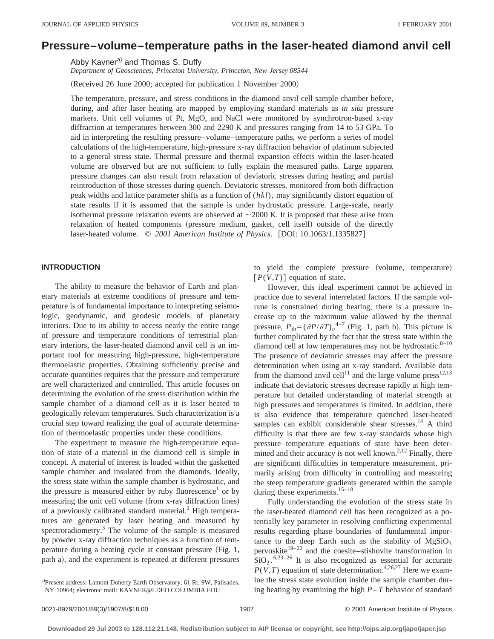# **Pressure–volume–temperature paths in the laser-heated diamond anvil cell**

Abby Kavner<sup>a)</sup> and Thomas S. Duffy

*Department of Geosciences, Princeton University, Princeton, New Jersey 08544*

(Received 26 June 2000; accepted for publication 1 November 2000)

The temperature, pressure, and stress conditions in the diamond anvil cell sample chamber before, during, and after laser heating are mapped by employing standard materials as *in situ* pressure markers. Unit cell volumes of Pt, MgO, and NaCl were monitored by synchrotron-based x-ray diffraction at temperatures between 300 and 2290 K and pressures ranging from 14 to 53 GPa. To aid in interpreting the resulting pressure–volume–temperature paths, we perform a series of model calculations of the high-temperature, high-pressure x-ray diffraction behavior of platinum subjected to a general stress state. Thermal pressure and thermal expansion effects within the laser-heated volume are observed but are not sufficient to fully explain the measured paths. Large apparent pressure changes can also result from relaxation of deviatoric stresses during heating and partial reintroduction of those stresses during quench. Deviatoric stresses, monitored from both diffraction peak widths and lattice parameter shifts as a function of (*hkl*), may significantly distort equation of state results if it is assumed that the sample is under hydrostatic pressure. Large-scale, nearly isothermal pressure relaxation events are observed at  $\sim$  2000 K. It is proposed that these arise from relaxation of heated components (pressure medium, gasket, cell itself) outside of the directly laser-heated volume. © 2001 American Institute of Physics. [DOI: 10.1063/1.1335827]

## **INTRODUCTION**

The ability to measure the behavior of Earth and planetary materials at extreme conditions of pressure and temperature is of fundamental importance to interpreting seismologic, geodynamic, and geodesic models of planetary interiors. Due to its ability to access nearly the entire range of pressure and temperature conditions of terrestrial planetary interiors, the laser-heated diamond anvil cell is an important tool for measuring high-pressure, high-temperature thermoelastic properties. Obtaining sufficiently precise and accurate quantities requires that the pressure and temperature are well characterized and controlled. This article focuses on determining the evolution of the stress distribution within the sample chamber of a diamond cell as it is laser heated to geologically relevant temperatures. Such characterization is a crucial step toward realizing the goal of accurate determination of thermoelastic properties under these conditions.

The experiment to measure the high-temperature equation of state of a material in the diamond cell is simple in concept. A material of interest is loaded within the gasketted sample chamber and insulated from the diamonds. Ideally, the stress state within the sample chamber is hydrostatic, and the pressure is measured either by ruby fluorescence<sup>1</sup> or by measuring the unit cell volume (from x-ray diffraction lines) of a previously calibrated standard material.<sup>2</sup> High temperatures are generated by laser heating and measured by spectroradiometry.<sup>3</sup> The volume of the sample is measured by powder x-ray diffraction techniques as a function of temperature during a heating cycle at constant pressure  $(Fig. 1,$ path a), and the experiment is repeated at different pressures

to yield the complete pressure (volume, temperature)  $[P(V,T)]$  equation of state.

However, this ideal experiment cannot be achieved in practice due to several interrelated factors. If the sample volume is constrained during heating, there is a pressure increase up to the maximum value allowed by the thermal pressure,  $P_{\text{th}} = (\partial P/\partial T) v^{4-7}$  (Fig. 1, path b). This picture is further complicated by the fact that the stress state within the diamond cell at low temperatures may not be hydrostatic. $8-10$ The presence of deviatoric stresses may affect the pressure determination when using an x-ray standard. Available data from the diamond anvil cell<sup>11</sup> and the large volume press<sup>12,13</sup> indicate that deviatoric stresses decrease rapidly at high temperature but detailed understanding of material strength at high pressures and temperatures is limited. In addition, there is also evidence that temperature quenched laser-heated samples can exhibit considerable shear stresses.<sup>14</sup> A third difficulty is that there are few x-ray standards whose high pressure–temperature equations of state have been determined and their accuracy is not well known.<sup>2,12</sup> Finally, there are significant difficulties in temperature measurement, primarily arising from difficulty in controlling and measuring the steep temperature gradients generated within the sample during these experiments.<sup>15-18</sup>

Fully understanding the evolution of the stress state in the laser-heated diamond cell has been recognized as a potentially key parameter in resolving conflicting experimental results regarding phase boundaries of fundamental importance to the deep Earth such as the stability of  $MgSiO<sub>3</sub>$ pervoskite $19-22$  and the coesite–stishovite transformation in  $SiO<sub>2</sub>$ .<sup>6,23–26</sup> It is also recognized as essential for accurate  $P(V,T)$  equation of state determination.<sup>4,26,27</sup> Here we examine the stress state evolution inside the sample chamber during heating by examining the high  $P - T$  behavior of standard

a)Present address: Lamont Doherty Earth Observatory, 61 Rt. 9W, Palisades, NY 10964; electronic mail: KAVNER@LDEO.COLUMBIA.EDU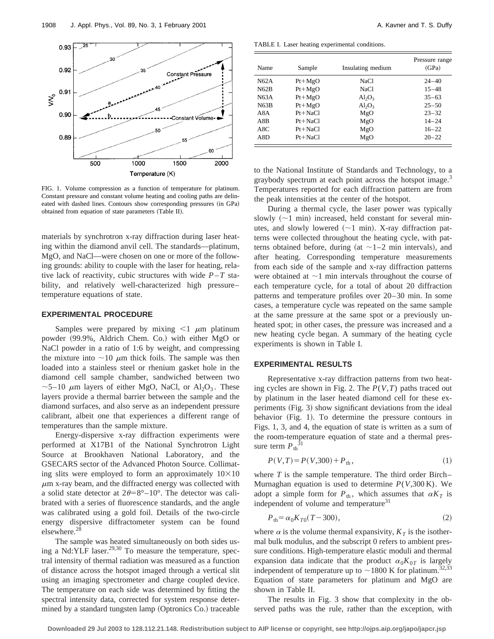

FIG. 1. Volume compression as a function of temperature for platinum. Constant pressure and constant volume heating and cooling paths are delineated with dashed lines. Contours show corresponding pressures (in GPa) obtained from equation of state parameters (Table II).

materials by synchrotron x-ray diffraction during laser heating within the diamond anvil cell. The standards—platinum, MgO, and NaCl—were chosen on one or more of the following grounds: ability to couple with the laser for heating, relative lack of reactivity, cubic structures with wide  $P - T$  stability, and relatively well-characterized high pressure– temperature equations of state.

### **EXPERIMENTAL PROCEDURE**

Samples were prepared by mixing  $\leq 1$   $\mu$ m platinum powder (99.9%, Aldrich Chem. Co.) with either MgO or NaCl powder in a ratio of 1:6 by weight, and compressing the mixture into  $\sim$ 10  $\mu$ m thick foils. The sample was then loaded into a stainless steel or rhenium gasket hole in the diamond cell sample chamber, sandwiched between two  $\sim$ 5–10  $\mu$ m layers of either MgO, NaCl, or Al<sub>2</sub>O<sub>3</sub>. These layers provide a thermal barrier between the sample and the diamond surfaces, and also serve as an independent pressure calibrant, albeit one that experiences a different range of temperatures than the sample mixture.

Energy-dispersive x-ray diffraction experiments were performed at X17B1 of the National Synchrotron Light Source at Brookhaven National Laboratory, and the GSECARS sector of the Advanced Photon Source. Collimating slits were employed to form an approximately  $10\times10$  $\mu$ m x-ray beam, and the diffracted energy was collected with a solid state detector at  $2\theta = 8^{\circ} - 10^{\circ}$ . The detector was calibrated with a series of fluorescence standards, and the angle was calibrated using a gold foil. Details of the two-circle energy dispersive diffractometer system can be found elsewhere.28

The sample was heated simultaneously on both sides using a Nd: YLF laser.<sup>29,30</sup> To measure the temperature, spectral intensity of thermal radiation was measured as a function of distance across the hotspot imaged through a vertical slit using an imaging spectrometer and charge coupled device. The temperature on each side was determined by fitting the spectral intensity data, corrected for system response determined by a standard tungsten lamp  $(Optomics Co.)$  traceable

TABLE I. Laser heating experimental conditions.

| Name | Sample      | Insulating medium | Pressure range<br>(GPa) |
|------|-------------|-------------------|-------------------------|
| N62A | $Pt+MgO$    | NaCl              | $24 - 40$               |
| N62B | $Pt+MgO$    | NaCl              | $15 - 48$               |
| N63A | $Pt+MgO$    | $Al_2O_3$         | $35 - 63$               |
| N63B | $Pt+MgO$    | $Al_2O_3$         | $25 - 50$               |
| A8A  | $Pt + NaCl$ | MgO               | $23 - 32$               |
| A8B  | $Pt + NaCl$ | MgO               | $14 - 24$               |
| ABC  | $Pt + NaCl$ | MgO               | $16 - 22$               |
| A8D  | $Pt + NaCl$ | MgO               | $20 - 22$               |

to the National Institute of Standards and Technology, to a graybody spectrum at each point across the hotspot image.<sup>3</sup> Temperatures reported for each diffraction pattern are from the peak intensities at the center of the hotspot.

During a thermal cycle, the laser power was typically slowly  $(\sim 1 \text{ min})$  increased, held constant for several minutes, and slowly lowered  $(\sim 1 \text{ min})$ . X-ray diffraction patterns were collected throughout the heating cycle, with patterns obtained before, during (at  $\sim$ 1–2 min intervals), and after heating. Corresponding temperature measurements from each side of the sample and x-ray diffraction patterns were obtained at  $\sim$ 1 min intervals throughout the course of each temperature cycle, for a total of about 20 diffraction patterns and temperature profiles over 20–30 min. In some cases, a temperature cycle was repeated on the same sample at the same pressure at the same spot or a previously unheated spot; in other cases, the pressure was increased and a new heating cycle began. A summary of the heating cycle experiments is shown in Table I.

## **EXPERIMENTAL RESULTS**

Representative x-ray diffraction patterns from two heating cycles are shown in Fig. 2. The *P*(*V*,*T*) paths traced out by platinum in the laser heated diamond cell for these experiments  $(Fig. 3)$  show significant deviations from the ideal behavior (Fig. 1). To determine the pressure contours in Figs. 1, 3, and 4, the equation of state is written as a sum of the room-temperature equation of state and a thermal pressure term  $P_{\text{th}}^{\overline{3}1}$ 

$$
P(V,T) = P(V,300) + P_{\text{th}},\tag{1}
$$

where *T* is the sample temperature. The third order Birch– Murnaghan equation is used to determine  $P(V,300 \text{ K})$ . We adopt a simple form for  $P_{th}$ , which assumes that  $\alpha K_T$  is independent of volume and temperature<sup>31</sup>

$$
P_{\text{th}} = \alpha_0 K_{T0} (T - 300), \tag{2}
$$

where  $\alpha$  is the volume thermal expansivity,  $K_T$  is the isothermal bulk modulus, and the subscript 0 refers to ambient pressure conditions. High-temperature elastic moduli and thermal expansion data indicate that the product  $\alpha_0 K_{0T}$  is largely independent of temperature up to  $\sim$ 1800 K for platinum.<sup>32,33</sup> Equation of state parameters for platinum and MgO are shown in Table II.

The results in Fig. 3 show that complexity in the observed paths was the rule, rather than the exception, with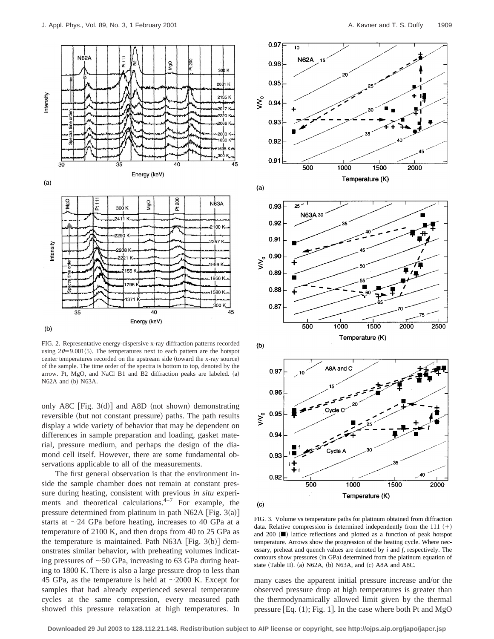

FIG. 2. Representative energy-dispersive x-ray diffraction patterns recorded using  $2\theta=9.001(5)$ . The temperatures next to each pattern are the hotspot center temperatures recorded on the upstream side (toward the x-ray source) of the sample. The time order of the spectra is bottom to top, denoted by the arrow. Pt, MgO, and NaCl B1 and B2 diffraction peaks are labeled.  $(a)$  $N62A$  and  $(b)$   $N63A$ .

only A8C  $|Fig. 3(d)|$  and A8D (not shown) demonstrating reversible (but not constant pressure) paths. The path results display a wide variety of behavior that may be dependent on differences in sample preparation and loading, gasket material, pressure medium, and perhaps the design of the diamond cell itself. However, there are some fundamental observations applicable to all of the measurements.

The first general observation is that the environment inside the sample chamber does not remain at constant pressure during heating, consistent with previous *in situ* experiments and theoretical calculations. $4-7$  For example, the pressure determined from platinum in path N62A  $[Fig. 3(a)]$ starts at  $\sim$ 24 GPa before heating, increases to 40 GPa at a temperature of 2100 K, and then drops from 40 to 25 GPa as the temperature is maintained. Path N63A  $[Fig. 3(b)]$  demonstrates similar behavior, with preheating volumes indicating pressures of  $\sim$  50 GPa, increasing to 63 GPa during heating to 1800 K. There is also a large pressure drop to less than 45 GPa, as the temperature is held at  $\sim$  2000 K. Except for samples that had already experienced several temperature cycles at the same compression, every measured path showed this pressure relaxation at high temperatures. In



 $(c)$ 

FIG. 3. Volume vs temperature paths for platinum obtained from diffraction data. Relative compression is determined independently from the  $111 (+)$ and 200  $(\blacksquare)$  lattice reflections and plotted as a function of peak hotspot temperature. Arrows show the progression of the heating cycle. Where necessary, preheat and quench values are denoted by *i* and *f*, respectively. The contours show pressures (in GPa) determined from the platinum equation of state  $(Table II)$ .  $(a)$  N62A,  $(b)$  N63A, and  $(c)$  A8A and A8C.

many cases the apparent initial pressure increase and/or the observed pressure drop at high temperatures is greater than the thermodynamically allowed limit given by the thermal pressure  $[Eq. (1); Fig. 1]$ . In the case where both Pt and MgO

**Downloaded 29 Jul 2003 to 128.112.21.148. Redistribution subject to AIP license or copyright, see http://ojps.aip.org/japo/japcr.jsp**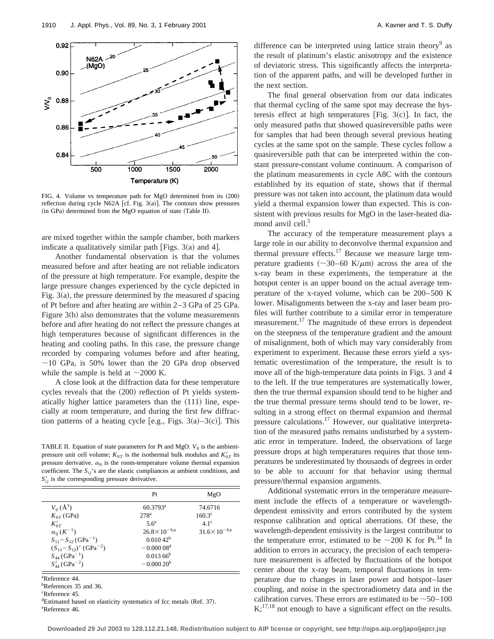

FIG. 4. Volume vs temperature path for MgO determined from its  $(200)$ reflection during cycle N62A [cf. Fig.  $3(a)$ ]. The contours show pressures (in GPa) determined from the MgO equation of state (Table II).

are mixed together within the sample chamber, both markers indicate a qualitatively similar path [Figs.  $3(a)$  and 4].

Another fundamental observation is that the volumes measured before and after heating are not reliable indicators of the pressure at high temperature. For example, despite the large pressure changes experienced by the cycle depicted in Fig.  $3(a)$ , the pressure determined by the measured *d* spacing of Pt before and after heating are within 2–3 GPa of 25 GPa. Figure  $3(b)$  also demonstrates that the volume measurements before and after heating do not reflect the pressure changes at high temperatures because of significant differences in the heating and cooling paths. In this case, the pressure change recorded by comparing volumes before and after heating,  $\sim$ 10 GPa, is 50% lower than the 20 GPa drop observed while the sample is held at  $\sim$ 2000 K.

A close look at the diffraction data for these temperature cycles reveals that the  $(200)$  reflection of Pt yields systematically higher lattice parameters than the  $(111)$  line, especially at room temperature, and during the first few diffraction patterns of a heating cycle [e.g., Figs.  $3(a) - 3(c)$ ]. This

TABLE II. Equation of state parameters for Pt and MgO.  $V_0$  is the ambientpressure unit cell volume;  $K_{0T}$  is the isothermal bulk modulus and  $K'_{0T}$  its pressure derivative.  $\alpha_0$  is the room-temperature volume thermal expansion coefficient. The  $S_{ij}$ 's are the elastic compliances at ambient conditions, and  $S'_{ii}$  is the corresponding pressure derivative.

|                                                                                                                                                                                         | Pt                                                                                                                                                       | MgO                                                                     |
|-----------------------------------------------------------------------------------------------------------------------------------------------------------------------------------------|----------------------------------------------------------------------------------------------------------------------------------------------------------|-------------------------------------------------------------------------|
| $V_0(\AA^3)$<br>$K_{0T}$ (GPa)<br>$K'_{0T}$<br>$\alpha_0(K^{-1})$<br>$S_{11} - S_{12}$ (GPa <sup>-1</sup> )<br>$(S_{11}-S_{12})'$ (GPa <sup>-2</sup> )<br>$S_{44}$ (GPa <sup>-1</sup> ) | $60.3793$ <sup>a</sup><br>278 <sup>a</sup><br>$5.6^{\circ}$<br>$26.8 \times 10^{-6}$<br>$0.01042^b$<br>$-0.00008$ <sup>d</sup><br>$0.01366$ <sup>b</sup> | 74.6716<br>$160.3^{\circ}$<br>4.1 <sup>c</sup><br>$31.6\times10^{-6,e}$ |
| $S'_{44}$ (GPa <sup>-2</sup> )                                                                                                                                                          | $-0.00020^{\rm b}$                                                                                                                                       |                                                                         |

a Reference 44.

<sup>b</sup>References 35 and 36.

c Reference 45.

<sup>d</sup>Estimated based on elasticity systematics of fcc metals (Ref. 37). e Reference 46.

difference can be interpreted using lattice strain theory<sup>9</sup> as the result of platinum's elastic anisotropy and the existence of deviatoric stress. This significantly affects the interpretation of the apparent paths, and will be developed further in the next section.

The final general observation from our data indicates that thermal cycling of the same spot may decrease the hysteresis effect at high temperatures [Fig. 3 $(c)$ ]. In fact, the only measured paths that showed quasireversible paths were for samples that had been through several previous heating cycles at the same spot on the sample. These cycles follow a quasireversible path that can be interpreted within the constant pressure-constant volume continuum. A comparison of the platinum measurements in cycle A8C with the contours established by its equation of state, shows that if thermal pressure was not taken into account, the platinum data would yield a thermal expansion lower than expected. This is consistent with previous results for MgO in the laser-heated diamond anvil cell.<sup>5</sup>

The accuracy of the temperature measurement plays a large role in our ability to deconvolve thermal expansion and thermal pressure effects.<sup>17</sup> Because we measure large temperature gradients ( $\sim$ 30–60 K/ $\mu$ m) across the area of the x-ray beam in these experiments, the temperature at the hotspot center is an upper bound on the actual average temperature of the x-rayed volume, which can be 200–500 K lower. Misalignments between the x-ray and laser beam profiles will further contribute to a similar error in temperature measurement.<sup>17</sup> The magnitude of these errors is dependent on the steepness of the temperature gradient and the amount of misalignment, both of which may vary considerably from experiment to experiment. Because these errors yield a systematic overestimation of the temperature, the result is to move all of the high-temperature data points in Figs. 3 and 4 to the left. If the true temperatures are systematically lower, then the true thermal expansion should tend to be higher and the true thermal pressure terms should tend to be lower, resulting in a strong effect on thermal expansion and thermal pressure calculations.17 However, our qualitative interpretation of the measured paths remains undisturbed by a systematic error in temperature. Indeed, the observations of large pressure drops at high temperatures requires that those temperatures be underestimated by thousands of degrees in order to be able to account for that behavior using thermal pressure/thermal expansion arguments.

Additional systematic errors in the temperature measurement include the effects of a temperature or wavelengthdependent emissivity and errors contributed by the system response calibration and optical aberrations. Of these, the wavelength-dependent emissivity is the largest contributor to the temperature error, estimated to be  $\sim$ 200 K for Pt.<sup>34</sup> In addition to errors in accuracy, the precision of each temperature measurement is affected by fluctuations of the hotspot center about the x-ray beam, temporal fluctuations in temperature due to changes in laser power and hotspot–laser coupling, and noise in the spectroradiometry data and in the calibration curves. These errors are estimated to be  $\sim$  50–100  $K$ <sup>17,18</sup> not enough to have a significant effect on the results.

**Downloaded 29 Jul 2003 to 128.112.21.148. Redistribution subject to AIP license or copyright, see http://ojps.aip.org/japo/japcr.jsp**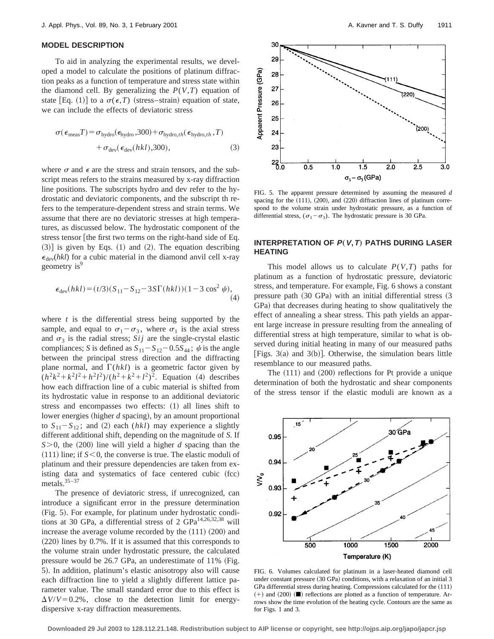### **MODEL DESCRIPTION**

To aid in analyzing the experimental results, we developed a model to calculate the positions of platinum diffraction peaks as a function of temperature and stress state within the diamond cell. By generalizing the  $P(V,T)$  equation of state [Eq. (1)] to a  $\sigma(\epsilon, T)$  (stress–strain) equation of state, we can include the effects of deviatoric stress

$$
\sigma(\epsilon_{\text{meas}}T) = \sigma_{\text{hydro}}(\epsilon_{\text{hydro}}\,300) + \sigma_{\text{hydro},th}(\epsilon_{\text{hydro},th},T) + \sigma_{\text{dev}}(\epsilon_{\text{dev}}(hkl),300),
$$
 (3)

where  $\sigma$  and  $\epsilon$  are the stress and strain tensors, and the subscript meas refers to the strains measured by x-ray diffraction line positions. The subscripts hydro and dev refer to the hydrostatic and deviatoric components, and the subscript th refers to the temperature-dependent stress and strain terms. We assume that there are no deviatoric stresses at high temperatures, as discussed below. The hydrostatic component of the stress tensor [the first two terms on the right-hand side of Eq.  $(3)$ ] is given by Eqs.  $(1)$  and  $(2)$ . The equation describing  $\epsilon_{\rm dev}(hkl)$  for a cubic material in the diamond anvil cell x-ray geometry is<sup>9</sup>

$$
\epsilon_{\text{dev}}(hkl) = (t/3)(S_{11} - S_{12} - 3S\Gamma(hkl))(1 - 3\cos^2\psi),\tag{4}
$$

where *t* is the differential stress being supported by the sample, and equal to  $\sigma_1 - \sigma_3$ , where  $\sigma_1$  is the axial stress and  $\sigma_3$  is the radial stress; *Sij* are the single-crystal elastic compliances; *S* is defined as  $S_{11} - S_{12} - 0.5S_{44}$ ;  $\psi$  is the angle between the principal stress direction and the diffracting plane normal, and  $\Gamma(hkl)$  is a geometric factor given by  $(h^2k^2 + k^2l^2 + h^2l^2)/(h^2 + k^2 + l^2)^2$ . Equation (4) describes how each diffraction line of a cubic material is shifted from its hydrostatic value in response to an additional deviatoric stress and encompasses two effects:  $(1)$  all lines shift to lower energies (higher  $d$  spacing), by an amount proportional to  $S_{11}-S_{12}$ ; and (2) each (*hkl*) may experience a slightly different additional shift, depending on the magnitude of *S*. If  $S>0$ , the (200) line will yield a higher *d* spacing than the  $(111)$  line; if  $S<0$ , the converse is true. The elastic moduli of platinum and their pressure dependencies are taken from existing data and systematics of face centered cubic (fcc) metals.<sup>35–37</sup>

The presence of deviatoric stress, if unrecognized, can introduce a significant error in the pressure determination (Fig. 5). For example, for platinum under hydrostatic conditions at 30 GPa, a differential stress of 2  $GPa^{14,26,32,38}$  will increase the average volume recorded by the  $(111)$   $(200)$  and  $(220)$  lines by 0.7%. If it is assumed that this corresponds to the volume strain under hydrostatic pressure, the calculated pressure would be  $26.7$  GPa, an underestimate of  $11\%$  (Fig. 5). In addition, platinum's elastic anisotropy also will cause each diffraction line to yield a slightly different lattice parameter value. The small standard error due to this effect is  $\Delta V/V = 0.2\%$ , close to the detection limit for energydispersive x-ray diffraction measurements.



FIG. 5. The apparent pressure determined by assuming the measured *d* spacing for the  $(111)$ ,  $(200)$ , and  $(220)$  diffraction lines of platinum correspond to the volume strain under hydrostatic pressure, as a function of differential stress,  $(\sigma_1 - \sigma_3)$ . The hydrostatic pressure is 30 GPa.

## **INTERPRETATION OF**  $P(V,T)$  **PATHS DURING LASER HEATING**

This model allows us to calculate  $P(V,T)$  paths for platinum as a function of hydrostatic pressure, deviatoric stress, and temperature. For example, Fig. 6 shows a constant pressure path  $(30 \text{ GPa})$  with an initial differential stress  $(3)$ GPa) that decreases during heating to show qualitatively the effect of annealing a shear stress. This path yields an apparent large increase in pressure resulting from the annealing of differential stress at high temperature, similar to what is observed during initial heating in many of our measured paths [Figs. 3(a) and 3(b)]. Otherwise, the simulation bears little resemblance to our measured paths.

The  $(111)$  and  $(200)$  reflections for Pt provide a unique determination of both the hydrostatic and shear components of the stress tensor if the elastic moduli are known as a



FIG. 6. Volumes calculated for platinum in a laser-heated diamond cell under constant pressure  $(30 \text{ GPa})$  conditions, with a relaxation of an initial 3 GPa differential stress during heating. Compressions calculated for the  $(111)$  $(+)$  and  $(200)$  ( $\blacksquare$ ) reflections are plotted as a function of temperature. Arrows show the time evolution of the heating cycle. Contours are the same as for Figs. 1 and 3.

**Downloaded 29 Jul 2003 to 128.112.21.148. Redistribution subject to AIP license or copyright, see http://ojps.aip.org/japo/japcr.jsp**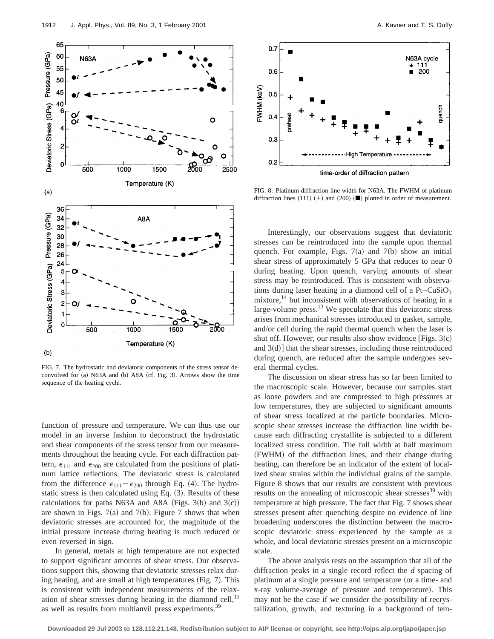

FIG. 7. The hydrostatic and deviatoric components of the stress tensor deconvolved for  $(a)$  N63A and  $(b)$  A8A  $(cf. Fig. 3)$ . Arrows show the time sequence of the heating cycle.

function of pressure and temperature. We can thus use our model in an inverse fashion to deconstruct the hydrostatic and shear components of the stress tensor from our measurements throughout the heating cycle. For each diffraction pattern,  $\epsilon_{111}$  and  $\epsilon_{200}$  are calculated from the positions of platinum lattice reflections. The deviatoric stress is calculated from the difference  $\epsilon_{111} - \epsilon_{200}$  through Eq. (4). The hydrostatic stress is then calculated using Eq.  $(3)$ . Results of these calculations for paths N63A and A8A (Figs. 3(b) and 3 $(c)$ ) are shown in Figs. 7(a) and 7(b). Figure 7 shows that when deviatoric stresses are accounted for, the magnitude of the initial pressure increase during heating is much reduced or even reversed in sign.

In general, metals at high temperature are not expected to support significant amounts of shear stress. Our observations support this, showing that deviatoric stresses relax during heating, and are small at high temperatures (Fig. 7). This is consistent with independent measurements of the relaxation of shear stresses during heating in the diamond cell, $^{11}$ as well as results from multianvil press experiments.<sup>39</sup>



FIG. 8. Platinum diffraction line width for N63A. The FWHM of platinum diffraction lines  $(111) (+)$  and  $(200)$  ( $\blacksquare$ ) plotted in order of measurement.

Interestingly, our observations suggest that deviatoric stresses can be reintroduced into the sample upon thermal quench. For example, Figs.  $7(a)$  and  $7(b)$  show an initial shear stress of approximately 5 GPa that reduces to near 0 during heating. Upon quench, varying amounts of shear stress may be reintroduced. This is consistent with observations during laser heating in a diamond cell of a  $Pt-CaSiO<sub>3</sub>$ mixture,<sup>14</sup> but inconsistent with observations of heating in a large-volume press. $^{13}$  We speculate that this deviatoric stress arises from mechanical stresses introduced to gasket, sample, and/or cell during the rapid thermal quench when the laser is shut off. However, our results also show evidence [Figs.  $3(c)$ ] and  $3(d)$  that the shear stresses, including those reintroduced during quench, are reduced after the sample undergoes several thermal cycles.

The discussion on shear stress has so far been limited to the macroscopic scale. However, because our samples start as loose powders and are compressed to high pressures at low temperatures, they are subjected to significant amounts of shear stress localized at the particle boundaries. Microscopic shear stresses increase the diffraction line width because each diffracting crystallite is subjected to a different localized stress condition. The full width at half maximum (FWHM) of the diffraction lines, and their change during heating, can therefore be an indicator of the extent of localized shear strains within the individual grains of the sample. Figure 8 shows that our results are consistent with previous results on the annealing of microscopic shear stresses<sup>39</sup> with temperature at high pressure. The fact that Fig. 7 shows shear stresses present after quenching despite no evidence of line broadening underscores the distinction between the macroscopic deviatoric stress experienced by the sample as a whole, and local deviatoric stresses present on a microscopic scale.

The above analysis rests on the assumption that all of the diffraction peaks in a single record reflect the *d* spacing of platinum at a single pressure and temperature (or a time- and x-ray volume-average of pressure and temperature). This may not be the case if we consider the possibility of recrystallization, growth, and texturing in a background of tem-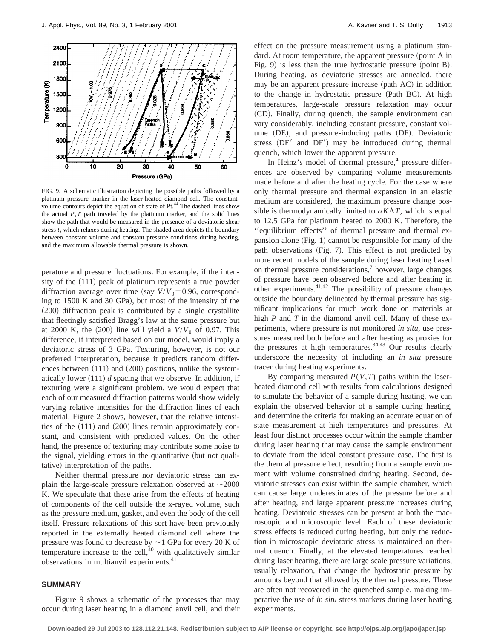

FIG. 9. A schematic illustration depicting the possible paths followed by a platinum pressure marker in the laser-heated diamond cell. The constantvolume contours depict the equation of state of  $Pt<sup>44</sup>$ . The dashed lines show the actual  $P$ , $T$  path traveled by the platinum marker, and the solid lines show the path that would be measured in the presence of a deviatoric shear stress  $t_i$  which relaxes during heating. The shaded area depicts the boundary between constant volume and constant pressure conditions during heating, and the maximum allowable thermal pressure is shown.

perature and pressure fluctuations. For example, if the intensity of the  $(111)$  peak of platinum represents a true powder diffraction average over time (say  $V/V_0 = 0.96$ , corresponding to 1500 K and 30 GPa), but most of the intensity of the  $(200)$  diffraction peak is contributed by a single crystallite that fleetingly satisfied Bragg's law at the same pressure but at 2000 K, the  $(200)$  line will yield a  $V/V_0$  of 0.97. This difference, if interpreted based on our model, would imply a deviatoric stress of 3 GPa. Texturing, however, is not our preferred interpretation, because it predicts random differences between  $(111)$  and  $(200)$  positions, unlike the systematically lower  $(111)$  *d* spacing that we observe. In addition, if texturing were a significant problem, we would expect that each of our measured diffraction patterns would show widely varying relative intensities for the diffraction lines of each material. Figure 2 shows, however, that the relative intensities of the  $(111)$  and  $(200)$  lines remain approximately constant, and consistent with predicted values. On the other hand, the presence of texturing may contribute some noise to the signal, yielding errors in the quantitative (but not qualitative) interpretation of the paths.

Neither thermal pressure nor deviatoric stress can explain the large-scale pressure relaxation observed at  $\sim$ 2000 K. We speculate that these arise from the effects of heating of components of the cell outside the x-rayed volume, such as the pressure medium, gasket, and even the body of the cell itself. Pressure relaxations of this sort have been previously reported in the externally heated diamond cell where the pressure was found to decrease by  $\sim$ 1 GPa for every 20 K of temperature increase to the cell, $40$  with qualitatively similar observations in multianvil experiments.<sup>41</sup>

#### **SUMMARY**

Figure 9 shows a schematic of the processes that may occur during laser heating in a diamond anvil cell, and their effect on the pressure measurement using a platinum standard. At room temperature, the apparent pressure (point  $A$  in Fig. 9) is less than the true hydrostatic pressure (point  $B$ ). During heating, as deviatoric stresses are annealed, there may be an apparent pressure increase (path AC) in addition to the change in hydrostatic pressure (Path BC). At high temperatures, large-scale pressure relaxation may occur (CD). Finally, during quench, the sample environment can vary considerably, including constant pressure, constant volume (DE), and pressure-inducing paths (DF). Deviatoric stress  $(DE'$  and  $DF'$ ) may be introduced during thermal quench, which lower the apparent pressure.

In Heinz's model of thermal pressure, $4$  pressure differences are observed by comparing volume measurements made before and after the heating cycle. For the case where only thermal pressure and thermal expansion in an elastic medium are considered, the maximum pressure change possible is thermodynamically limited to  $\alpha K\Delta T$ , which is equal to 12.5 GPa for platinum heated to 2000 K. Therefore, the ''equilibrium effects'' of thermal pressure and thermal expansion alone  $(Fig. 1)$  cannot be responsible for many of the path observations (Fig. 7). This effect is not predicted by more recent models of the sample during laser heating based on thermal pressure considerations,<sup>7</sup> however, large changes of pressure have been observed before and after heating in other experiments.41,42 The possibility of pressure changes outside the boundary delineated by thermal pressure has significant implications for much work done on materials at high *P* and *T* in the diamond anvil cell. Many of these experiments, where pressure is not monitored *in situ*, use pressures measured both before and after heating as proxies for the pressures at high temperatures.<sup>34,43</sup> Our results clearly underscore the necessity of including an *in situ* pressure tracer during heating experiments.

By comparing measured  $P(V,T)$  paths within the laserheated diamond cell with results from calculations designed to simulate the behavior of a sample during heating, we can explain the observed behavior of a sample during heating, and determine the criteria for making an accurate equation of state measurement at high temperatures and pressures. At least four distinct processes occur within the sample chamber during laser heating that may cause the sample environment to deviate from the ideal constant pressure case. The first is the thermal pressure effect, resulting from a sample environment with volume constrained during heating. Second, deviatoric stresses can exist within the sample chamber, which can cause large underestimates of the pressure before and after heating, and large apparent pressure increases during heating. Deviatoric stresses can be present at both the macroscopic and microscopic level. Each of these deviatoric stress effects is reduced during heating, but only the reduction in microscopic deviatoric stress is maintained on thermal quench. Finally, at the elevated temperatures reached during laser heating, there are large scale pressure variations, usually relaxation, that change the hydrostatic pressure by amounts beyond that allowed by the thermal pressure. These are often not recovered in the quenched sample, making imperative the use of *in situ* stress markers during laser heating experiments.